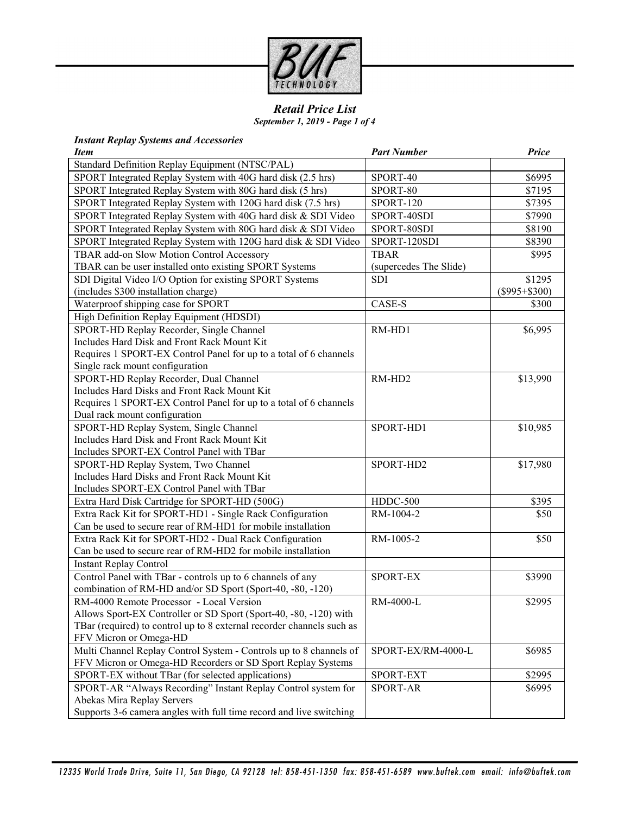

*Retail Price List September 1, 2019 - Page 1 of 4*

#### *Instant Replay Systems and Accessories*

| <b>Item</b>                                                           | <b>Part Number</b>     | Price             |
|-----------------------------------------------------------------------|------------------------|-------------------|
| Standard Definition Replay Equipment (NTSC/PAL)                       |                        |                   |
| SPORT Integrated Replay System with 40G hard disk (2.5 hrs)           | SPORT-40               | \$6995            |
| SPORT Integrated Replay System with 80G hard disk (5 hrs)             | SPORT-80               | \$7195            |
| SPORT Integrated Replay System with 120G hard disk (7.5 hrs)          | SPORT-120              | \$7395            |
| SPORT Integrated Replay System with 40G hard disk & SDI Video         | SPORT-40SDI            | \$7990            |
| SPORT Integrated Replay System with 80G hard disk & SDI Video         | SPORT-80SDI            | \$8190            |
| SPORT Integrated Replay System with 120G hard disk & SDI Video        | SPORT-120SDI           | \$8390            |
| TBAR add-on Slow Motion Control Accessory                             | <b>TBAR</b>            | \$995             |
| TBAR can be user installed onto existing SPORT Systems                | (supercedes The Slide) |                   |
| SDI Digital Video I/O Option for existing SPORT Systems               | <b>SDI</b>             | \$1295            |
| (includes \$300 installation charge)                                  |                        | $(\$995 + \$300)$ |
| Waterproof shipping case for SPORT                                    | CASE-S                 | \$300             |
| High Definition Replay Equipment (HDSDI)                              |                        |                   |
| SPORT-HD Replay Recorder, Single Channel                              | RM-HD1                 | \$6,995           |
| Includes Hard Disk and Front Rack Mount Kit                           |                        |                   |
| Requires 1 SPORT-EX Control Panel for up to a total of 6 channels     |                        |                   |
| Single rack mount configuration                                       |                        |                   |
| SPORT-HD Replay Recorder, Dual Channel                                | RM-HD2                 | \$13,990          |
| Includes Hard Disks and Front Rack Mount Kit                          |                        |                   |
| Requires 1 SPORT-EX Control Panel for up to a total of 6 channels     |                        |                   |
| Dual rack mount configuration                                         |                        |                   |
| SPORT-HD Replay System, Single Channel                                | SPORT-HD1              | \$10,985          |
| Includes Hard Disk and Front Rack Mount Kit                           |                        |                   |
| Includes SPORT-EX Control Panel with TBar                             |                        |                   |
| SPORT-HD Replay System, Two Channel                                   | SPORT-HD2              | \$17,980          |
| Includes Hard Disks and Front Rack Mount Kit                          |                        |                   |
| Includes SPORT-EX Control Panel with TBar                             |                        |                   |
| Extra Hard Disk Cartridge for SPORT-HD (500G)                         | HDDC-500               | \$395             |
| Extra Rack Kit for SPORT-HD1 - Single Rack Configuration              | RM-1004-2              | \$50              |
| Can be used to secure rear of RM-HD1 for mobile installation          |                        |                   |
| Extra Rack Kit for SPORT-HD2 - Dual Rack Configuration                | RM-1005-2              | \$50              |
| Can be used to secure rear of RM-HD2 for mobile installation          |                        |                   |
| <b>Instant Replay Control</b>                                         |                        |                   |
| Control Panel with TBar - controls up to 6 channels of any            | SPORT-EX               | \$3990            |
| combination of RM-HD and/or SD Sport (Sport-40, -80, -120)            |                        |                   |
| RM-4000 Remote Processor - Local Version                              | RM-4000-L              | \$2995            |
| Allows Sport-EX Controller or SD Sport (Sport-40, -80, -120) with     |                        |                   |
| TBar (required) to control up to 8 external recorder channels such as |                        |                   |
| FFV Micron or Omega-HD                                                |                        |                   |
| Multi Channel Replay Control System - Controls up to 8 channels of    | SPORT-EX/RM-4000-L     | \$6985            |
| FFV Micron or Omega-HD Recorders or SD Sport Replay Systems           |                        |                   |
| SPORT-EX without TBar (for selected applications)                     | SPORT-EXT              | \$2995            |
| SPORT-AR "Always Recording" Instant Replay Control system for         | <b>SPORT-AR</b>        | \$6995            |
| Abekas Mira Replay Servers                                            |                        |                   |
| Supports 3-6 camera angles with full time record and live switching   |                        |                   |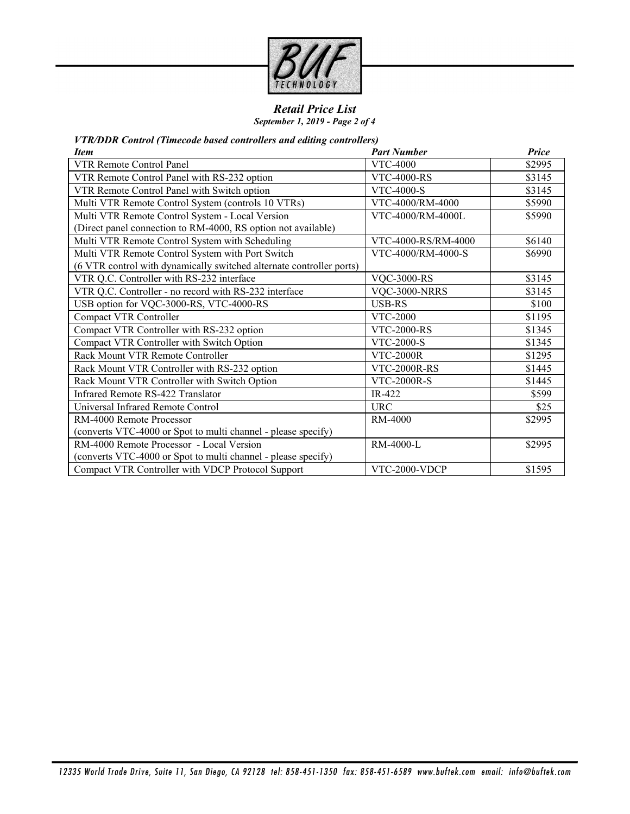

## *Retail Price List*

*September 1, 2019 - Page 2 of 4*

*VTR/DDR Control (Timecode based controllers and editing controllers)*

| <b>Item</b>                                                          | <b>Part Number</b>   | Price  |
|----------------------------------------------------------------------|----------------------|--------|
| <b>VTR Remote Control Panel</b>                                      | <b>VTC-4000</b>      | \$2995 |
| VTR Remote Control Panel with RS-232 option                          | <b>VTC-4000-RS</b>   | \$3145 |
| VTR Remote Control Panel with Switch option                          | <b>VTC-4000-S</b>    | \$3145 |
| Multi VTR Remote Control System (controls 10 VTRs)                   | VTC-4000/RM-4000     | \$5990 |
| Multi VTR Remote Control System - Local Version                      | VTC-4000/RM-4000L    | \$5990 |
| (Direct panel connection to RM-4000, RS option not available)        |                      |        |
| Multi VTR Remote Control System with Scheduling                      | VTC-4000-RS/RM-4000  | \$6140 |
| Multi VTR Remote Control System with Port Switch                     | VTC-4000/RM-4000-S   | \$6990 |
| (6 VTR control with dynamically switched alternate controller ports) |                      |        |
| VTR Q.C. Controller with RS-232 interface                            | <b>VQC-3000-RS</b>   | \$3145 |
| VTR Q.C. Controller - no record with RS-232 interface                | <b>VQC-3000-NRRS</b> | \$3145 |
| USB option for VQC-3000-RS, VTC-4000-RS                              | <b>USB-RS</b>        | \$100  |
| <b>Compact VTR Controller</b>                                        | VTC-2000             | \$1195 |
| Compact VTR Controller with RS-232 option                            | <b>VTC-2000-RS</b>   | \$1345 |
| Compact VTR Controller with Switch Option                            | <b>VTC-2000-S</b>    | \$1345 |
| Rack Mount VTR Remote Controller                                     | <b>VTC-2000R</b>     | \$1295 |
| Rack Mount VTR Controller with RS-232 option                         | <b>VTC-2000R-RS</b>  | \$1445 |
| Rack Mount VTR Controller with Switch Option                         | <b>VTC-2000R-S</b>   | \$1445 |
| Infrared Remote RS-422 Translator                                    | IR-422               | \$599  |
| Universal Infrared Remote Control                                    | URC                  | \$25   |
| RM-4000 Remote Processor                                             | <b>RM-4000</b>       | \$2995 |
| (converts VTC-4000 or Spot to multi channel - please specify)        |                      |        |
| RM-4000 Remote Processor - Local Version                             | $RM-4000-I$          | \$2995 |
| (converts VTC-4000 or Spot to multi channel - please specify)        |                      |        |
| Compact VTR Controller with VDCP Protocol Support                    | VTC-2000-VDCP        | \$1595 |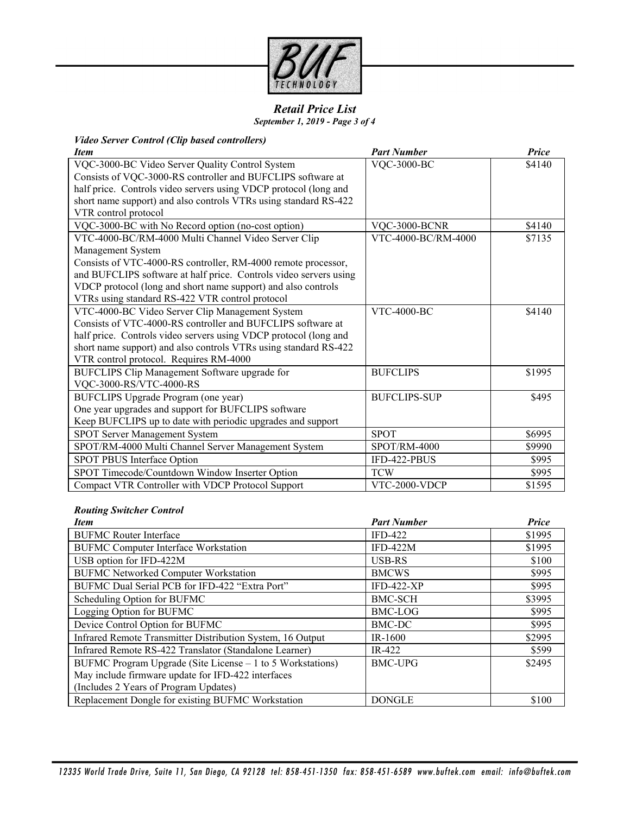

#### *Retail Price List September 1, 2019 - Page 3 of 4*

# *Video Server Control (Clip based controllers)*

| <b>Item</b>                                                       | <b>Part Number</b>  | Price  |
|-------------------------------------------------------------------|---------------------|--------|
| VQC-3000-BC Video Server Quality Control System                   | <b>VQC-3000-BC</b>  | \$4140 |
| Consists of VQC-3000-RS controller and BUFCLIPS software at       |                     |        |
| half price. Controls video servers using VDCP protocol (long and  |                     |        |
| short name support) and also controls VTRs using standard RS-422  |                     |        |
| VTR control protocol                                              |                     |        |
| VQC-3000-BC with No Record option (no-cost option)                | VQC-3000-BCNR       | \$4140 |
| VTC-4000-BC/RM-4000 Multi Channel Video Server Clip               | VTC-4000-BC/RM-4000 | \$7135 |
| Management System                                                 |                     |        |
| Consists of VTC-4000-RS controller, RM-4000 remote processor,     |                     |        |
| and BUFCLIPS software at half price. Controls video servers using |                     |        |
| VDCP protocol (long and short name support) and also controls     |                     |        |
| VTRs using standard RS-422 VTR control protocol                   |                     |        |
| VTC-4000-BC Video Server Clip Management System                   | <b>VTC-4000-BC</b>  | \$4140 |
| Consists of VTC-4000-RS controller and BUFCLIPS software at       |                     |        |
| half price. Controls video servers using VDCP protocol (long and  |                     |        |
| short name support) and also controls VTRs using standard RS-422  |                     |        |
| VTR control protocol. Requires RM-4000                            |                     |        |
| BUFCLIPS Clip Management Software upgrade for                     | <b>BUFCLIPS</b>     | \$1995 |
| VQC-3000-RS/VTC-4000-RS                                           |                     |        |
| BUFCLIPS Upgrade Program (one year)                               | <b>BUFCLIPS-SUP</b> | \$495  |
| One year upgrades and support for BUFCLIPS software               |                     |        |
| Keep BUFCLIPS up to date with periodic upgrades and support       |                     |        |
| SPOT Server Management System                                     | <b>SPOT</b>         | \$6995 |
| SPOT/RM-4000 Multi Channel Server Management System               | SPOT/RM-4000        | \$9990 |
| SPOT PBUS Interface Option                                        | IFD-422-PBUS        | \$995  |
| SPOT Timecode/Countdown Window Inserter Option                    | <b>TCW</b>          | \$995  |
| Compact VTR Controller with VDCP Protocol Support                 | VTC-2000-VDCP       | \$1595 |

## *Routing Switcher Control*

| <b>Item</b>                                                | <b>Part Number</b> | Price  |
|------------------------------------------------------------|--------------------|--------|
| <b>BUFMC Router Interface</b>                              | $IFD-422$          | \$1995 |
| <b>BUFMC Computer Interface Workstation</b>                | $IFD-422M$         | \$1995 |
| USB option for IFD-422M                                    | USB-RS             | \$100  |
| <b>BUFMC Networked Computer Workstation</b>                | <b>BMCWS</b>       | \$995  |
| BUFMC Dual Serial PCB for IFD-422 "Extra Port"             | <b>IFD-422-XP</b>  | \$995  |
| Scheduling Option for BUFMC                                | <b>BMC-SCH</b>     | \$3995 |
| Logging Option for BUFMC                                   | BMC-LOG            | \$995  |
| Device Control Option for BUFMC                            | BMC-DC             | \$995  |
| Infrared Remote Transmitter Distribution System, 16 Output | $IR-1600$          | \$2995 |
| Infrared Remote RS-422 Translator (Standalone Learner)     | IR-422             | \$599  |
| BUFMC Program Upgrade (Site License – 1 to 5 Workstations) | <b>BMC-UPG</b>     | \$2495 |
| May include firmware update for IFD-422 interfaces         |                    |        |
| (Includes 2 Years of Program Updates)                      |                    |        |
| Replacement Dongle for existing BUFMC Workstation          | <b>DONGLE</b>      | \$100  |